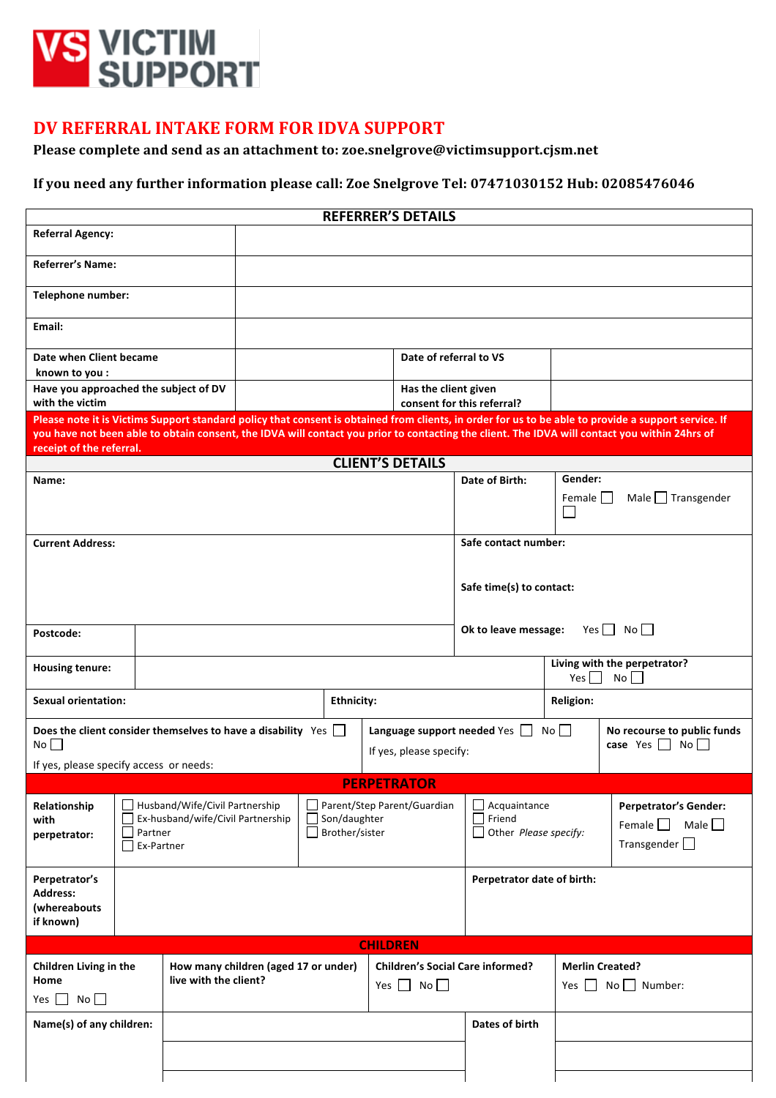

## **DV REFERRAL INTAKE FORM FOR IDVA SUPPORT**

## Please complete and send as an attachment to: zoe.snelgrove@victimsupport.cjsm.net

## If you need any further information please call: Zoe Snelgrove Tel: 07471030152 Hub: 02085476046

| <b>REFERRER'S DETAILS</b>                                                                                                                                                                                                                                                                                                                                       |                                                                                                                                              |                                      |                                                        |                                                                             |                                         |                                                                                    |                                                          |  |  |  |  |
|-----------------------------------------------------------------------------------------------------------------------------------------------------------------------------------------------------------------------------------------------------------------------------------------------------------------------------------------------------------------|----------------------------------------------------------------------------------------------------------------------------------------------|--------------------------------------|--------------------------------------------------------|-----------------------------------------------------------------------------|-----------------------------------------|------------------------------------------------------------------------------------|----------------------------------------------------------|--|--|--|--|
| <b>Referral Agency:</b>                                                                                                                                                                                                                                                                                                                                         |                                                                                                                                              |                                      |                                                        |                                                                             |                                         |                                                                                    |                                                          |  |  |  |  |
| <b>Referrer's Name:</b>                                                                                                                                                                                                                                                                                                                                         |                                                                                                                                              |                                      |                                                        |                                                                             |                                         |                                                                                    |                                                          |  |  |  |  |
| Telephone number:                                                                                                                                                                                                                                                                                                                                               |                                                                                                                                              |                                      |                                                        |                                                                             |                                         |                                                                                    |                                                          |  |  |  |  |
| Email:                                                                                                                                                                                                                                                                                                                                                          |                                                                                                                                              |                                      |                                                        |                                                                             |                                         |                                                                                    |                                                          |  |  |  |  |
| Date when Client became<br>known to you :                                                                                                                                                                                                                                                                                                                       | Date of referral to VS                                                                                                                       |                                      |                                                        |                                                                             |                                         |                                                                                    |                                                          |  |  |  |  |
| Have you approached the subject of DV<br>with the victim                                                                                                                                                                                                                                                                                                        | Has the client given                                                                                                                         |                                      |                                                        |                                                                             |                                         |                                                                                    |                                                          |  |  |  |  |
| consent for this referral?<br>Please note it is Victims Support standard policy that consent is obtained from clients, in order for us to be able to provide a support service. If<br>you have not been able to obtain consent, the IDVA will contact you prior to contacting the client. The IDVA will contact you within 24hrs of<br>receipt of the referral. |                                                                                                                                              |                                      |                                                        |                                                                             |                                         |                                                                                    |                                                          |  |  |  |  |
|                                                                                                                                                                                                                                                                                                                                                                 |                                                                                                                                              |                                      |                                                        | <b>CLIENT'S DETAILS</b>                                                     |                                         |                                                                                    |                                                          |  |  |  |  |
| Name:                                                                                                                                                                                                                                                                                                                                                           |                                                                                                                                              |                                      |                                                        |                                                                             | Date of Birth:                          | Gender:<br>Female                                                                  | Male $\Box$ Transgender                                  |  |  |  |  |
| <b>Current Address:</b>                                                                                                                                                                                                                                                                                                                                         |                                                                                                                                              |                                      |                                                        |                                                                             | Safe contact number:                    |                                                                                    |                                                          |  |  |  |  |
|                                                                                                                                                                                                                                                                                                                                                                 |                                                                                                                                              |                                      |                                                        |                                                                             | Safe time(s) to contact:                |                                                                                    |                                                          |  |  |  |  |
| Postcode:                                                                                                                                                                                                                                                                                                                                                       |                                                                                                                                              |                                      |                                                        |                                                                             |                                         |                                                                                    | $Yes \mid No \mid$<br>Ok to leave message:               |  |  |  |  |
| <b>Housing tenure:</b>                                                                                                                                                                                                                                                                                                                                          |                                                                                                                                              |                                      |                                                        |                                                                             |                                         | Living with the perpetrator?<br>Yes $\Box$<br>$No$ $\Box$                          |                                                          |  |  |  |  |
| <b>Sexual orientation:</b>                                                                                                                                                                                                                                                                                                                                      | <b>Ethnicity:</b>                                                                                                                            |                                      |                                                        | <b>Religion:</b>                                                            |                                         |                                                                                    |                                                          |  |  |  |  |
| No<br>If yes, please specify access or needs:                                                                                                                                                                                                                                                                                                                   | Does the client consider themselves to have a disability $Yes \Box$                                                                          |                                      | Language support needed Yes<br>If yes, please specify: |                                                                             |                                         | No                                                                                 | No recourse to public funds<br>case Yes $\Box$ No $\Box$ |  |  |  |  |
|                                                                                                                                                                                                                                                                                                                                                                 |                                                                                                                                              |                                      |                                                        | <b>PERPETRATOR</b>                                                          |                                         |                                                                                    |                                                          |  |  |  |  |
| Relationship<br>with<br>perpetrator:                                                                                                                                                                                                                                                                                                                            | Husband/Wife/Civil Partnership<br>Ex-husband/wife/Civil Partnership<br>$\Box$ Son/daughter<br>Brother/sister<br>$\Box$ Partner<br>Ex-Partner |                                      | Parent/Step Parent/Guardian                            | $\Box$ Acquaintance<br>$\Box$ Friend<br>$\Box$ Other <i>Please specify:</i> |                                         | <b>Perpetrator's Gender:</b><br>Female $\Box$<br>Male $\Box$<br>Transgender $\Box$ |                                                          |  |  |  |  |
| Perpetrator's<br><b>Address:</b><br>(whereabouts<br>if known)                                                                                                                                                                                                                                                                                                   |                                                                                                                                              |                                      |                                                        |                                                                             | Perpetrator date of birth:              |                                                                                    |                                                          |  |  |  |  |
|                                                                                                                                                                                                                                                                                                                                                                 |                                                                                                                                              |                                      |                                                        | <b>CHILDREN</b>                                                             |                                         |                                                                                    |                                                          |  |  |  |  |
| Children Living in the<br>live with the client?<br>Home                                                                                                                                                                                                                                                                                                         |                                                                                                                                              | How many children (aged 17 or under) |                                                        | Yes $\Box$ No $\Box$                                                        | <b>Children's Social Care informed?</b> |                                                                                    | <b>Merlin Created?</b><br>Yes $\Box$ No $\Box$ Number:   |  |  |  |  |
| Yes $\Box$<br>No                                                                                                                                                                                                                                                                                                                                                |                                                                                                                                              |                                      |                                                        |                                                                             | Dates of birth                          |                                                                                    |                                                          |  |  |  |  |
| Name(s) of any children:                                                                                                                                                                                                                                                                                                                                        |                                                                                                                                              |                                      |                                                        |                                                                             |                                         |                                                                                    |                                                          |  |  |  |  |
|                                                                                                                                                                                                                                                                                                                                                                 |                                                                                                                                              |                                      |                                                        |                                                                             |                                         |                                                                                    |                                                          |  |  |  |  |